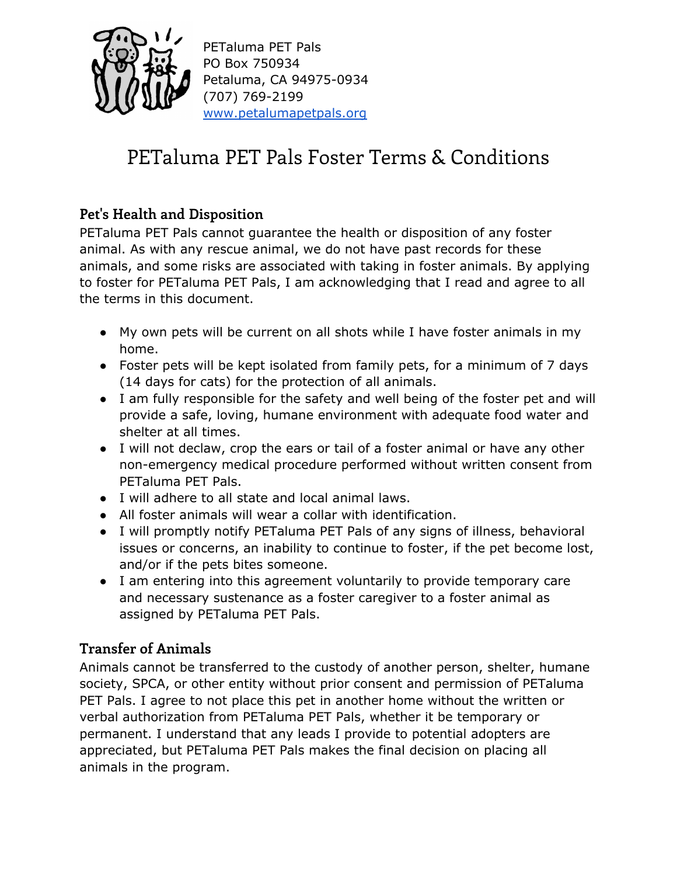

PETaluma PET Pals PO Box 750934 Petaluma, CA 94975-0934 (707) 769-2199 [www.petalumapetpals.org](http://www.petalumapetpals.org/)

# PETaluma PET Pals Foster Terms & Conditions

## **Pet's Health and Disposition**

PETaluma PET Pals cannot guarantee the health or disposition of any foster animal. As with any rescue animal, we do not have past records for these animals, and some risks are associated with taking in foster animals. By applying to foster for PETaluma PET Pals, I am acknowledging that I read and agree to all the terms in this document.

- My own pets will be current on all shots while I have foster animals in my home.
- Foster pets will be kept isolated from family pets, for a minimum of 7 days (14 days for cats) for the protection of all animals.
- I am fully responsible for the safety and well being of the foster pet and will provide a safe, loving, humane environment with adequate food water and shelter at all times.
- I will not declaw, crop the ears or tail of a foster animal or have any other non-emergency medical procedure performed without written consent from PETaluma PET Pals.
- I will adhere to all state and local animal laws.
- All foster animals will wear a collar with identification.
- I will promptly notify PETaluma PET Pals of any signs of illness, behavioral issues or concerns, an inability to continue to foster, if the pet become lost, and/or if the pets bites someone.
- I am entering into this agreement voluntarily to provide temporary care and necessary sustenance as a foster caregiver to a foster animal as assigned by PETaluma PET Pals.

### **Transfer of Animals**

Animals cannot be transferred to the custody of another person, shelter, humane society, SPCA, or other entity without prior consent and permission of PETaluma PET Pals. I agree to not place this pet in another home without the written or verbal authorization from PETaluma PET Pals, whether it be temporary or permanent. I understand that any leads I provide to potential adopters are appreciated, but PETaluma PET Pals makes the final decision on placing all animals in the program.